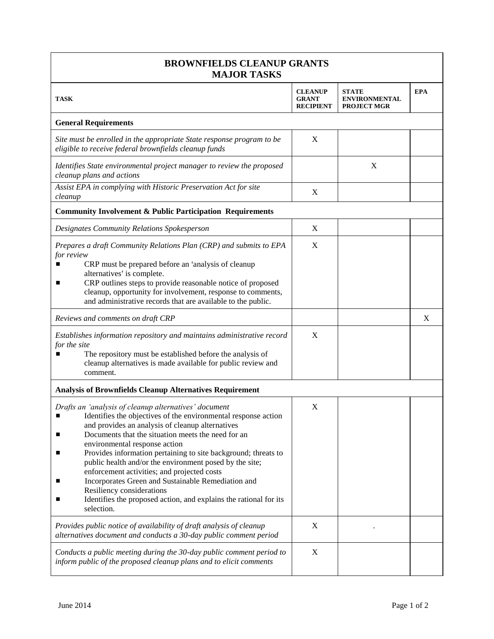| <b>BROWNFIELDS CLEANUP GRANTS</b><br><b>MAJOR TASKS</b>                                                                                                                                                                                                                                                                                                                                                                                                                                                                                                                                                              |                                                    |                                                            |            |  |  |
|----------------------------------------------------------------------------------------------------------------------------------------------------------------------------------------------------------------------------------------------------------------------------------------------------------------------------------------------------------------------------------------------------------------------------------------------------------------------------------------------------------------------------------------------------------------------------------------------------------------------|----------------------------------------------------|------------------------------------------------------------|------------|--|--|
| <b>TASK</b>                                                                                                                                                                                                                                                                                                                                                                                                                                                                                                                                                                                                          | <b>CLEANUP</b><br><b>GRANT</b><br><b>RECIPIENT</b> | <b>STATE</b><br><b>ENVIRONMENTAL</b><br><b>PROJECT MGR</b> | <b>EPA</b> |  |  |
| <b>General Requirements</b>                                                                                                                                                                                                                                                                                                                                                                                                                                                                                                                                                                                          |                                                    |                                                            |            |  |  |
| Site must be enrolled in the appropriate State response program to be<br>eligible to receive federal brownfields cleanup funds                                                                                                                                                                                                                                                                                                                                                                                                                                                                                       | X                                                  |                                                            |            |  |  |
| Identifies State environmental project manager to review the proposed<br>cleanup plans and actions                                                                                                                                                                                                                                                                                                                                                                                                                                                                                                                   |                                                    | X                                                          |            |  |  |
| Assist EPA in complying with Historic Preservation Act for site<br>cleanup                                                                                                                                                                                                                                                                                                                                                                                                                                                                                                                                           | X                                                  |                                                            |            |  |  |
| <b>Community Involvement &amp; Public Participation Requirements</b>                                                                                                                                                                                                                                                                                                                                                                                                                                                                                                                                                 |                                                    |                                                            |            |  |  |
| Designates Community Relations Spokesperson                                                                                                                                                                                                                                                                                                                                                                                                                                                                                                                                                                          | X                                                  |                                                            |            |  |  |
| Prepares a draft Community Relations Plan (CRP) and submits to EPA<br>for review<br>CRP must be prepared before an 'analysis of cleanup<br>alternatives' is complete.<br>CRP outlines steps to provide reasonable notice of proposed<br>■<br>cleanup, opportunity for involvement, response to comments,<br>and administrative records that are available to the public.                                                                                                                                                                                                                                             | X                                                  |                                                            |            |  |  |
| Reviews and comments on draft CRP                                                                                                                                                                                                                                                                                                                                                                                                                                                                                                                                                                                    |                                                    |                                                            | X          |  |  |
| Establishes information repository and maintains administrative record<br>for the site<br>The repository must be established before the analysis of<br>cleanup alternatives is made available for public review and<br>comment.                                                                                                                                                                                                                                                                                                                                                                                      | X                                                  |                                                            |            |  |  |
| <b>Analysis of Brownfields Cleanup Alternatives Requirement</b>                                                                                                                                                                                                                                                                                                                                                                                                                                                                                                                                                      |                                                    |                                                            |            |  |  |
| Drafts an 'analysis of cleanup alternatives' document<br>Identifies the objectives of the environmental response action<br>and provides an analysis of cleanup alternatives<br>Documents that the situation meets the need for an<br>environmental response action<br>Provides information pertaining to site background; threats to<br>public health and/or the environment posed by the site;<br>enforcement activities; and projected costs<br>Incorporates Green and Sustainable Remediation and<br>Resiliency considerations<br>Identifies the proposed action, and explains the rational for its<br>selection. | X                                                  |                                                            |            |  |  |
| Provides public notice of availability of draft analysis of cleanup<br>alternatives document and conducts a 30-day public comment period                                                                                                                                                                                                                                                                                                                                                                                                                                                                             | X                                                  |                                                            |            |  |  |
| Conducts a public meeting during the 30-day public comment period to<br>inform public of the proposed cleanup plans and to elicit comments                                                                                                                                                                                                                                                                                                                                                                                                                                                                           | $\boldsymbol{X}$                                   |                                                            |            |  |  |